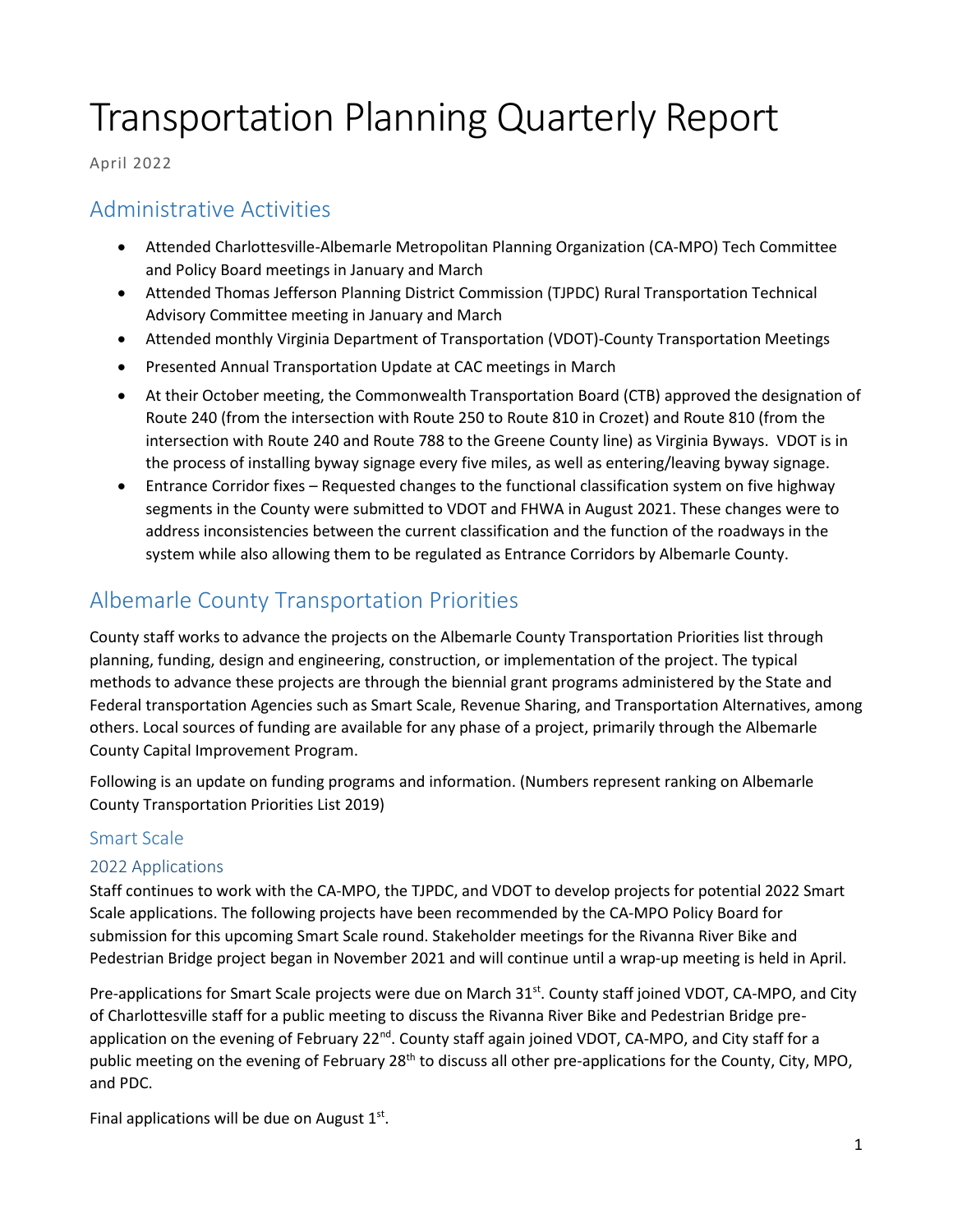# Transportation Planning Quarterly Report

April 2022

# Administrative Activities

- Attended Charlottesville-Albemarle Metropolitan Planning Organization (CA-MPO) Tech Committee and Policy Board meetings in January and March
- Attended Thomas Jefferson Planning District Commission (TJPDC) Rural Transportation Technical Advisory Committee meeting in January and March
- Attended monthly Virginia Department of Transportation (VDOT)-County Transportation Meetings
- Presented Annual Transportation Update at CAC meetings in March
- At their October meeting, the Commonwealth Transportation Board (CTB) approved the designation of Route 240 (from the intersection with Route 250 to Route 810 in Crozet) and Route 810 (from the intersection with Route 240 and Route 788 to the Greene County line) as Virginia Byways. VDOT is in the process of installing byway signage every five miles, as well as entering/leaving byway signage.
- Entrance Corridor fixes Requested changes to the functional classification system on five highway segments in the County were submitted to VDOT and FHWA in August 2021. These changes were to address inconsistencies between the current classification and the function of the roadways in the system while also allowing them to be regulated as Entrance Corridors by Albemarle County.

# Albemarle County Transportation Priorities

County staff works to advance the projects on the Albemarle County Transportation Priorities list through planning, funding, design and engineering, construction, or implementation of the project. The typical methods to advance these projects are through the biennial grant programs administered by the State and Federal transportation Agencies such as Smart Scale, Revenue Sharing, and Transportation Alternatives, among others. Local sources of funding are available for any phase of a project, primarily through the Albemarle County Capital Improvement Program.

Following is an update on funding programs and information. (Numbers represent ranking on Albemarle County Transportation Priorities List 2019)

## Smart Scale

## 2022 Applications

Staff continues to work with the CA-MPO, the TJPDC, and VDOT to develop projects for potential 2022 Smart Scale applications. The following projects have been recommended by the CA-MPO Policy Board for submission for this upcoming Smart Scale round. Stakeholder meetings for the Rivanna River Bike and Pedestrian Bridge project began in November 2021 and will continue until a wrap-up meeting is held in April.

Pre-applications for Smart Scale projects were due on March 31<sup>st</sup>. County staff joined VDOT, CA-MPO, and City of Charlottesville staff for a public meeting to discuss the Rivanna River Bike and Pedestrian Bridge preapplication on the evening of February 22<sup>nd</sup>. County staff again joined VDOT, CA-MPO, and City staff for a public meeting on the evening of February 28<sup>th</sup> to discuss all other pre-applications for the County, City, MPO, and PDC.

Final applications will be due on August  $1<sup>st</sup>$ .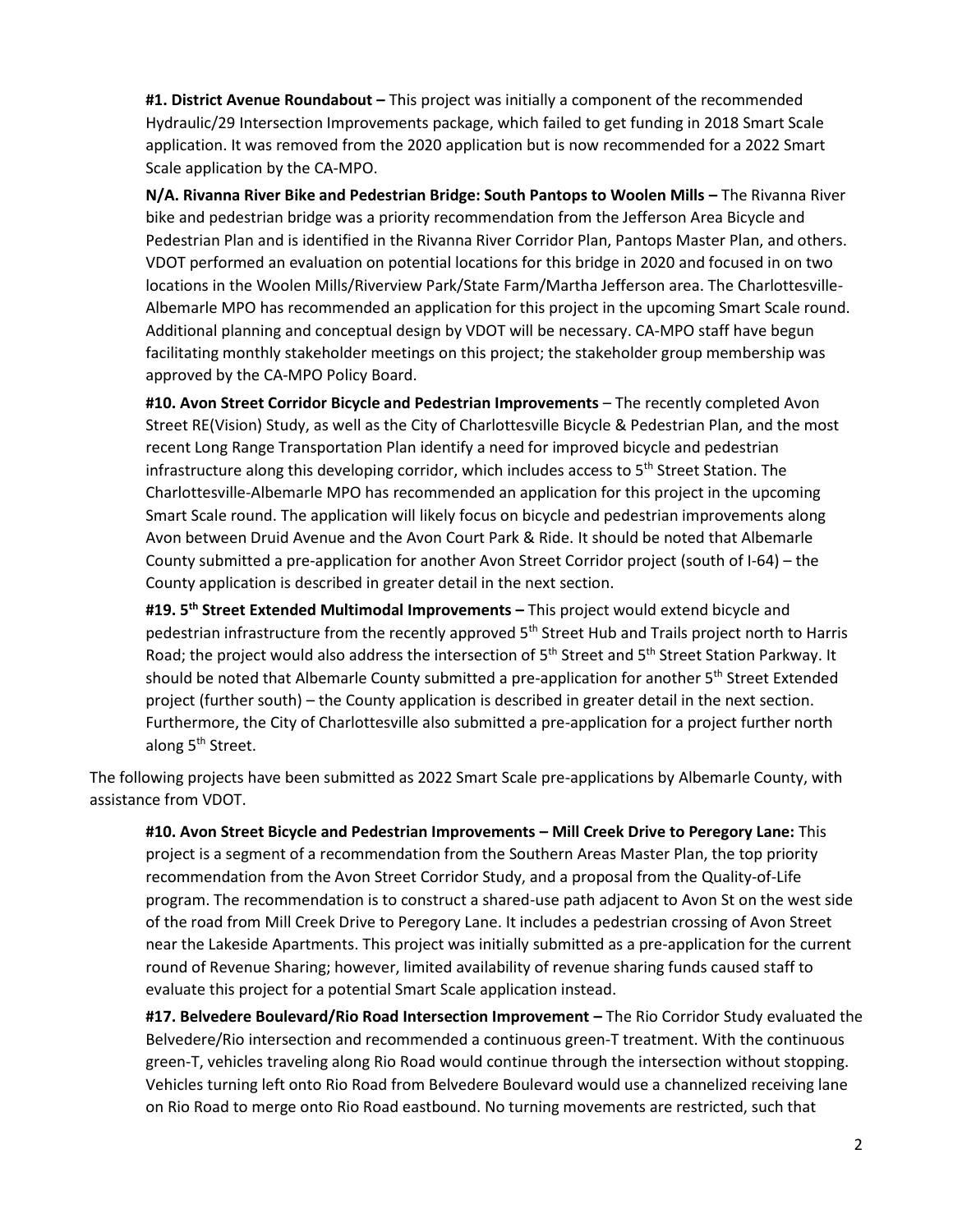**#1. District Avenue Roundabout –** This project was initially a component of the recommended Hydraulic/29 Intersection Improvements package, which failed to get funding in 2018 Smart Scale application. It was removed from the 2020 application but is now recommended for a 2022 Smart Scale application by the CA-MPO.

**N/A. Rivanna River Bike and Pedestrian Bridge: South Pantops to Woolen Mills - The Rivanna River** bike and pedestrian bridge was a priority recommendation from the Jefferson Area Bicycle and Pedestrian Plan and is identified in the Rivanna River Corridor Plan, Pantops Master Plan, and others. VDOT performed an evaluation on potential locations for this bridge in 2020 and focused in on two locations in the Woolen Mills/Riverview Park/State Farm/Martha Jefferson area. The Charlottesville-Albemarle MPO has recommended an application for this project in the upcoming Smart Scale round. Additional planning and conceptual design by VDOT will be necessary. CA-MPO staff have begun facilitating monthly stakeholder meetings on this project; the stakeholder group membership was approved by the CA-MPO Policy Board.

**#10. Avon Street Corridor Bicycle and Pedestrian Improvements** – The recently completed Avon Street RE(Vision) Study, as well as the City of Charlottesville Bicycle & Pedestrian Plan, and the most recent Long Range Transportation Plan identify a need for improved bicycle and pedestrian infrastructure along this developing corridor, which includes access to 5<sup>th</sup> Street Station. The Charlottesville-Albemarle MPO has recommended an application for this project in the upcoming Smart Scale round. The application will likely focus on bicycle and pedestrian improvements along Avon between Druid Avenue and the Avon Court Park & Ride. It should be noted that Albemarle County submitted a pre-application for another Avon Street Corridor project (south of I-64) – the County application is described in greater detail in the next section.

**#19. 5th Street Extended Multimodal Improvements –** This project would extend bicycle and pedestrian infrastructure from the recently approved 5<sup>th</sup> Street Hub and Trails project north to Harris Road; the project would also address the intersection of 5<sup>th</sup> Street and 5<sup>th</sup> Street Station Parkway. It should be noted that Albemarle County submitted a pre-application for another 5<sup>th</sup> Street Extended project (further south) – the County application is described in greater detail in the next section. Furthermore, the City of Charlottesville also submitted a pre-application for a project further north along 5<sup>th</sup> Street.

The following projects have been submitted as 2022 Smart Scale pre-applications by Albemarle County, with assistance from VDOT.

**#10. Avon Street Bicycle and Pedestrian Improvements – Mill Creek Drive to Peregory Lane:** This project is a segment of a recommendation from the Southern Areas Master Plan, the top priority recommendation from the Avon Street Corridor Study, and a proposal from the Quality-of-Life program. The recommendation is to construct a shared-use path adjacent to Avon St on the west side of the road from Mill Creek Drive to Peregory Lane. It includes a pedestrian crossing of Avon Street near the Lakeside Apartments. This project was initially submitted as a pre-application for the current round of Revenue Sharing; however, limited availability of revenue sharing funds caused staff to evaluate this project for a potential Smart Scale application instead.

**#17. Belvedere Boulevard/Rio Road Intersection Improvement –** The Rio Corridor Study evaluated the Belvedere/Rio intersection and recommended a continuous green-T treatment. With the continuous green-T, vehicles traveling along Rio Road would continue through the intersection without stopping. Vehicles turning left onto Rio Road from Belvedere Boulevard would use a channelized receiving lane on Rio Road to merge onto Rio Road eastbound. No turning movements are restricted, such that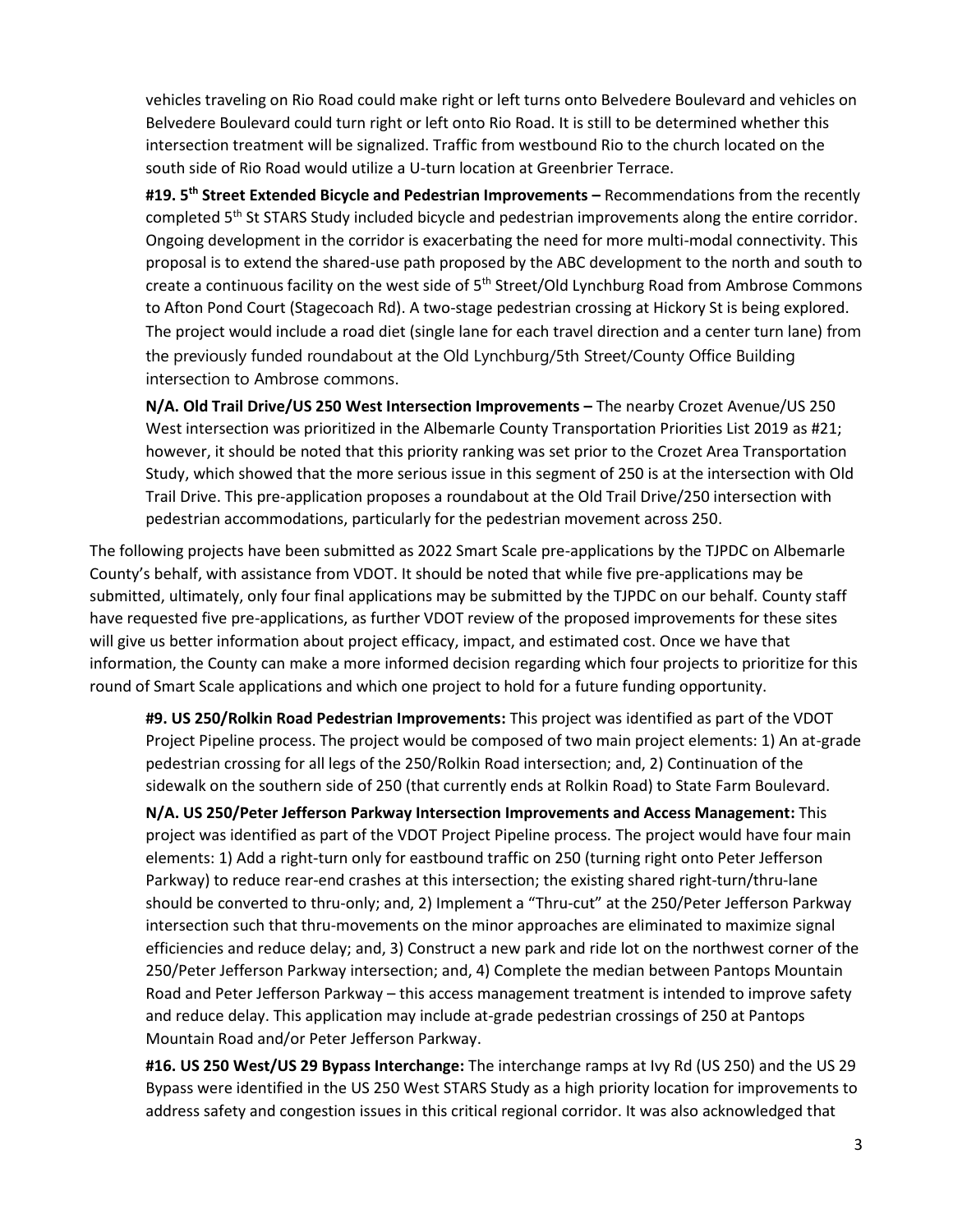vehicles traveling on Rio Road could make right or left turns onto Belvedere Boulevard and vehicles on Belvedere Boulevard could turn right or left onto Rio Road. It is still to be determined whether this intersection treatment will be signalized. Traffic from westbound Rio to the church located on the south side of Rio Road would utilize a U-turn location at Greenbrier Terrace.

**#19. 5 th Street Extended Bicycle and Pedestrian Improvements –** Recommendations from the recently completed 5<sup>th</sup> St STARS Study included bicycle and pedestrian improvements along the entire corridor. Ongoing development in the corridor is exacerbating the need for more multi-modal connectivity. This proposal is to extend the shared-use path proposed by the ABC development to the north and south to create a continuous facility on the west side of 5<sup>th</sup> Street/Old Lynchburg Road from Ambrose Commons to Afton Pond Court (Stagecoach Rd). A two-stage pedestrian crossing at Hickory St is being explored. The project would include a road diet (single lane for each travel direction and a center turn lane) from the previously funded roundabout at the Old Lynchburg/5th Street/County Office Building intersection to Ambrose commons.

**N/A. Old Trail Drive/US 250 West Intersection Improvements –** The nearby Crozet Avenue/US 250 West intersection was prioritized in the Albemarle County Transportation Priorities List 2019 as #21; however, it should be noted that this priority ranking was set prior to the Crozet Area Transportation Study, which showed that the more serious issue in this segment of 250 is at the intersection with Old Trail Drive. This pre-application proposes a roundabout at the Old Trail Drive/250 intersection with pedestrian accommodations, particularly for the pedestrian movement across 250.

The following projects have been submitted as 2022 Smart Scale pre-applications by the TJPDC on Albemarle County's behalf, with assistance from VDOT. It should be noted that while five pre-applications may be submitted, ultimately, only four final applications may be submitted by the TJPDC on our behalf. County staff have requested five pre-applications, as further VDOT review of the proposed improvements for these sites will give us better information about project efficacy, impact, and estimated cost. Once we have that information, the County can make a more informed decision regarding which four projects to prioritize for this round of Smart Scale applications and which one project to hold for a future funding opportunity.

**#9. US 250/Rolkin Road Pedestrian Improvements:** This project was identified as part of the VDOT Project Pipeline process. The project would be composed of two main project elements: 1) An at-grade pedestrian crossing for all legs of the 250/Rolkin Road intersection; and, 2) Continuation of the sidewalk on the southern side of 250 (that currently ends at Rolkin Road) to State Farm Boulevard.

**N/A. US 250/Peter Jefferson Parkway Intersection Improvements and Access Management:** This project was identified as part of the VDOT Project Pipeline process. The project would have four main elements: 1) Add a right-turn only for eastbound traffic on 250 (turning right onto Peter Jefferson Parkway) to reduce rear-end crashes at this intersection; the existing shared right-turn/thru-lane should be converted to thru-only; and, 2) Implement a "Thru-cut" at the 250/Peter Jefferson Parkway intersection such that thru-movements on the minor approaches are eliminated to maximize signal efficiencies and reduce delay; and, 3) Construct a new park and ride lot on the northwest corner of the 250/Peter Jefferson Parkway intersection; and, 4) Complete the median between Pantops Mountain Road and Peter Jefferson Parkway – this access management treatment is intended to improve safety and reduce delay. This application may include at-grade pedestrian crossings of 250 at Pantops Mountain Road and/or Peter Jefferson Parkway.

**#16. US 250 West/US 29 Bypass Interchange:** The interchange ramps at Ivy Rd (US 250) and the US 29 Bypass were identified in the US 250 West STARS Study as a high priority location for improvements to address safety and congestion issues in this critical regional corridor. It was also acknowledged that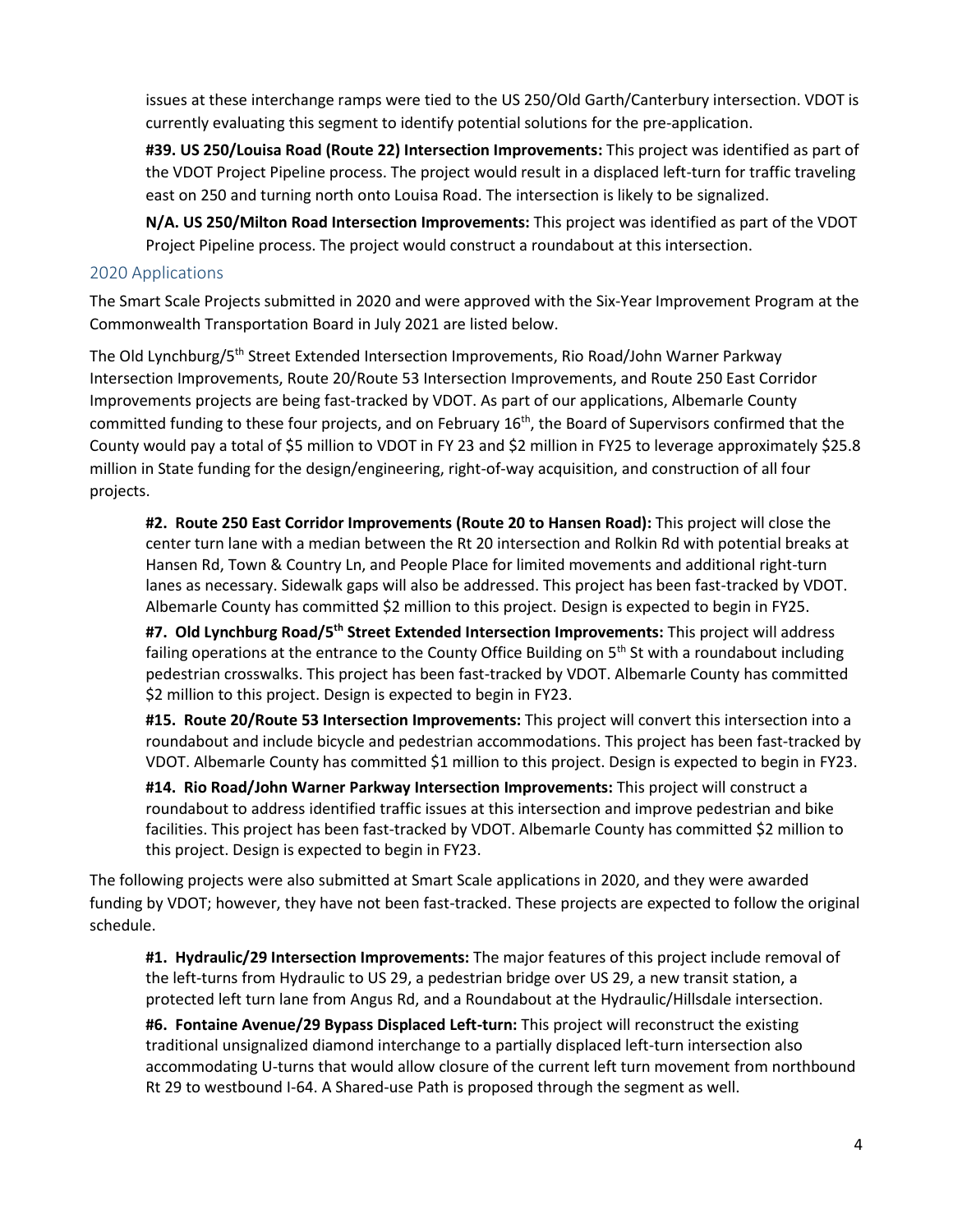issues at these interchange ramps were tied to the US 250/Old Garth/Canterbury intersection. VDOT is currently evaluating this segment to identify potential solutions for the pre-application.

**#39. US 250/Louisa Road (Route 22) Intersection Improvements:** This project was identified as part of the VDOT Project Pipeline process. The project would result in a displaced left-turn for traffic traveling east on 250 and turning north onto Louisa Road. The intersection is likely to be signalized.

**N/A. US 250/Milton Road Intersection Improvements:** This project was identified as part of the VDOT Project Pipeline process. The project would construct a roundabout at this intersection.

#### 2020 Applications

The Smart Scale Projects submitted in 2020 and were approved with the Six-Year Improvement Program at the Commonwealth Transportation Board in July 2021 are listed below.

The Old Lynchburg/5th Street Extended Intersection Improvements, Rio Road/John Warner Parkway Intersection Improvements, Route 20/Route 53 Intersection Improvements, and Route 250 East Corridor Improvements projects are being fast-tracked by VDOT. As part of our applications, Albemarle County committed funding to these four projects, and on February 16th, the Board of Supervisors confirmed that the County would pay a total of \$5 million to VDOT in FY 23 and \$2 million in FY25 to leverage approximately \$25.8 million in State funding for the design/engineering, right-of-way acquisition, and construction of all four projects.

**#2. Route 250 East Corridor Improvements (Route 20 to Hansen Road):** This project will close the center turn lane with a median between the Rt 20 intersection and Rolkin Rd with potential breaks at Hansen Rd, Town & Country Ln, and People Place for limited movements and additional right-turn lanes as necessary. Sidewalk gaps will also be addressed. This project has been fast-tracked by VDOT. Albemarle County has committed \$2 million to this project. Design is expected to begin in FY25.

**#7. Old Lynchburg Road/5th Street Extended Intersection Improvements:** This project will address failing operations at the entrance to the County Office Building on  $5<sup>th</sup>$  St with a roundabout including pedestrian crosswalks. This project has been fast-tracked by VDOT. Albemarle County has committed \$2 million to this project. Design is expected to begin in FY23.

**#15. Route 20/Route 53 Intersection Improvements:** This project will convert this intersection into a roundabout and include bicycle and pedestrian accommodations. This project has been fast-tracked by VDOT. Albemarle County has committed \$1 million to this project. Design is expected to begin in FY23.

**#14. Rio Road/John Warner Parkway Intersection Improvements:** This project will construct a roundabout to address identified traffic issues at this intersection and improve pedestrian and bike facilities. This project has been fast-tracked by VDOT. Albemarle County has committed \$2 million to this project. Design is expected to begin in FY23.

The following projects were also submitted at Smart Scale applications in 2020, and they were awarded funding by VDOT; however, they have not been fast-tracked. These projects are expected to follow the original schedule.

**#1. Hydraulic/29 Intersection Improvements:** The major features of this project include removal of the left-turns from Hydraulic to US 29, a pedestrian bridge over US 29, a new transit station, a protected left turn lane from Angus Rd, and a Roundabout at the Hydraulic/Hillsdale intersection.

**#6. Fontaine Avenue/29 Bypass Displaced Left-turn:** This project will reconstruct the existing traditional unsignalized diamond interchange to a partially displaced left-turn intersection also accommodating U-turns that would allow closure of the current left turn movement from northbound Rt 29 to westbound I-64. A Shared-use Path is proposed through the segment as well.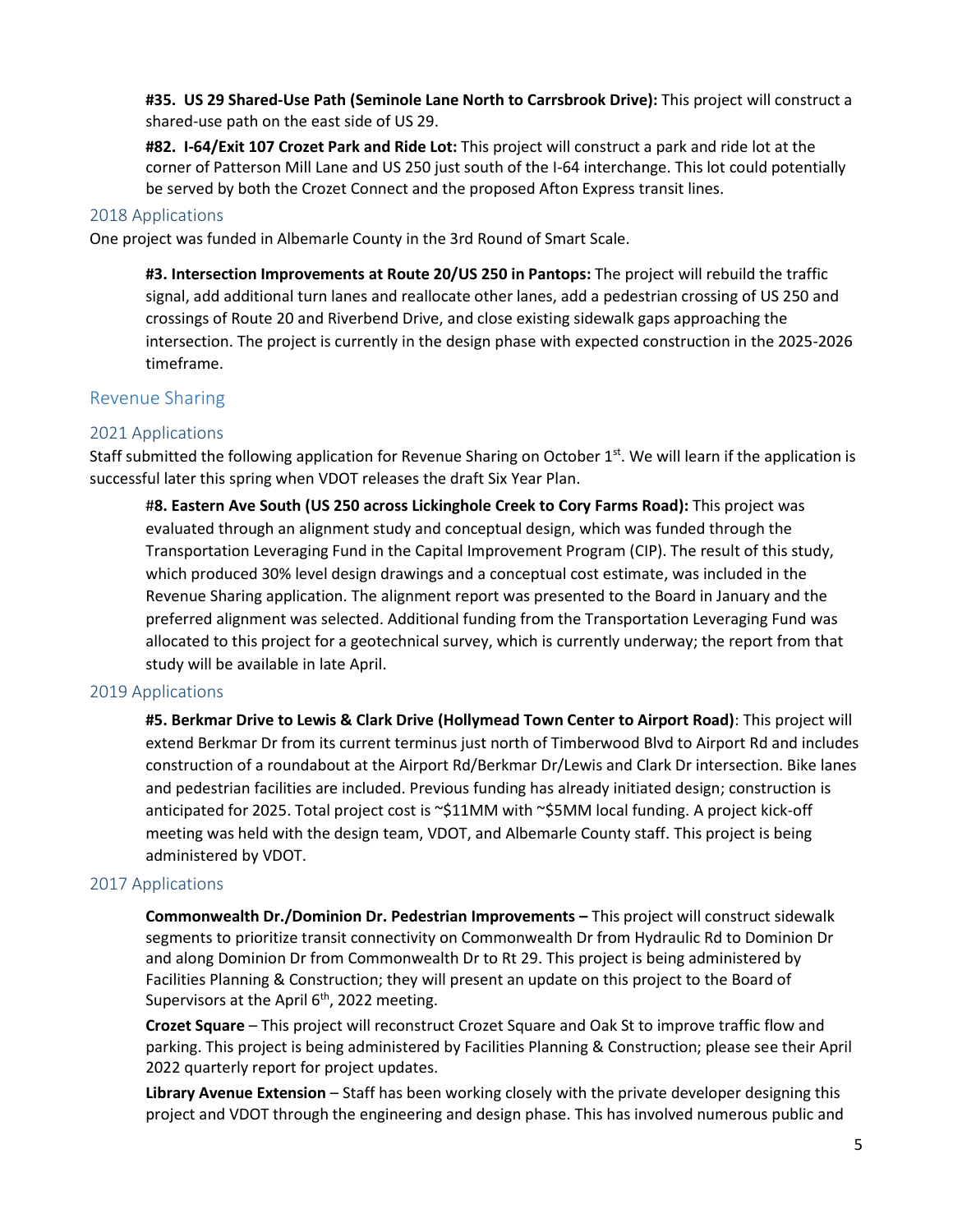**#35. US 29 Shared-Use Path (Seminole Lane North to Carrsbrook Drive):** This project will construct a shared-use path on the east side of US 29.

**#82. I-64/Exit 107 Crozet Park and Ride Lot:** This project will construct a park and ride lot at the corner of Patterson Mill Lane and US 250 just south of the I-64 interchange. This lot could potentially be served by both the Crozet Connect and the proposed Afton Express transit lines.

#### 2018 Applications

One project was funded in Albemarle County in the 3rd Round of Smart Scale.

**#3. Intersection Improvements at Route 20/US 250 in Pantops:** The project will rebuild the traffic signal, add additional turn lanes and reallocate other lanes, add a pedestrian crossing of US 250 and crossings of Route 20 and Riverbend Drive, and close existing sidewalk gaps approaching the intersection. The project is currently in the design phase with expected construction in the 2025-2026 timeframe.

#### Revenue Sharing

#### 2021 Applications

Staff submitted the following application for Revenue Sharing on October 1<sup>st</sup>. We will learn if the application is successful later this spring when VDOT releases the draft Six Year Plan.

#**8. Eastern Ave South (US 250 across Lickinghole Creek to Cory Farms Road):** This project was evaluated through an alignment study and conceptual design, which was funded through the Transportation Leveraging Fund in the Capital Improvement Program (CIP). The result of this study, which produced 30% level design drawings and a conceptual cost estimate, was included in the Revenue Sharing application. The alignment report was presented to the Board in January and the preferred alignment was selected. Additional funding from the Transportation Leveraging Fund was allocated to this project for a geotechnical survey, which is currently underway; the report from that study will be available in late April.

#### 2019 Applications

**#5. Berkmar Drive to Lewis & Clark Drive (Hollymead Town Center to Airport Road)**: This project will extend Berkmar Dr from its current terminus just north of Timberwood Blvd to Airport Rd and includes construction of a roundabout at the Airport Rd/Berkmar Dr/Lewis and Clark Dr intersection. Bike lanes and pedestrian facilities are included. Previous funding has already initiated design; construction is anticipated for 2025. Total project cost is ~\$11MM with ~\$5MM local funding. A project kick-off meeting was held with the design team, VDOT, and Albemarle County staff. This project is being administered by VDOT.

#### 2017 Applications

**Commonwealth Dr./Dominion Dr. Pedestrian Improvements –** This project will construct sidewalk segments to prioritize transit connectivity on Commonwealth Dr from Hydraulic Rd to Dominion Dr and along Dominion Dr from Commonwealth Dr to Rt 29. This project is being administered by Facilities Planning & Construction; they will present an update on this project to the Board of Supervisors at the April 6<sup>th</sup>, 2022 meeting.

**Crozet Square** – This project will reconstruct Crozet Square and Oak St to improve traffic flow and parking. This project is being administered by Facilities Planning & Construction; please see their April 2022 quarterly report for project updates.

**Library Avenue Extension** – Staff has been working closely with the private developer designing this project and VDOT through the engineering and design phase. This has involved numerous public and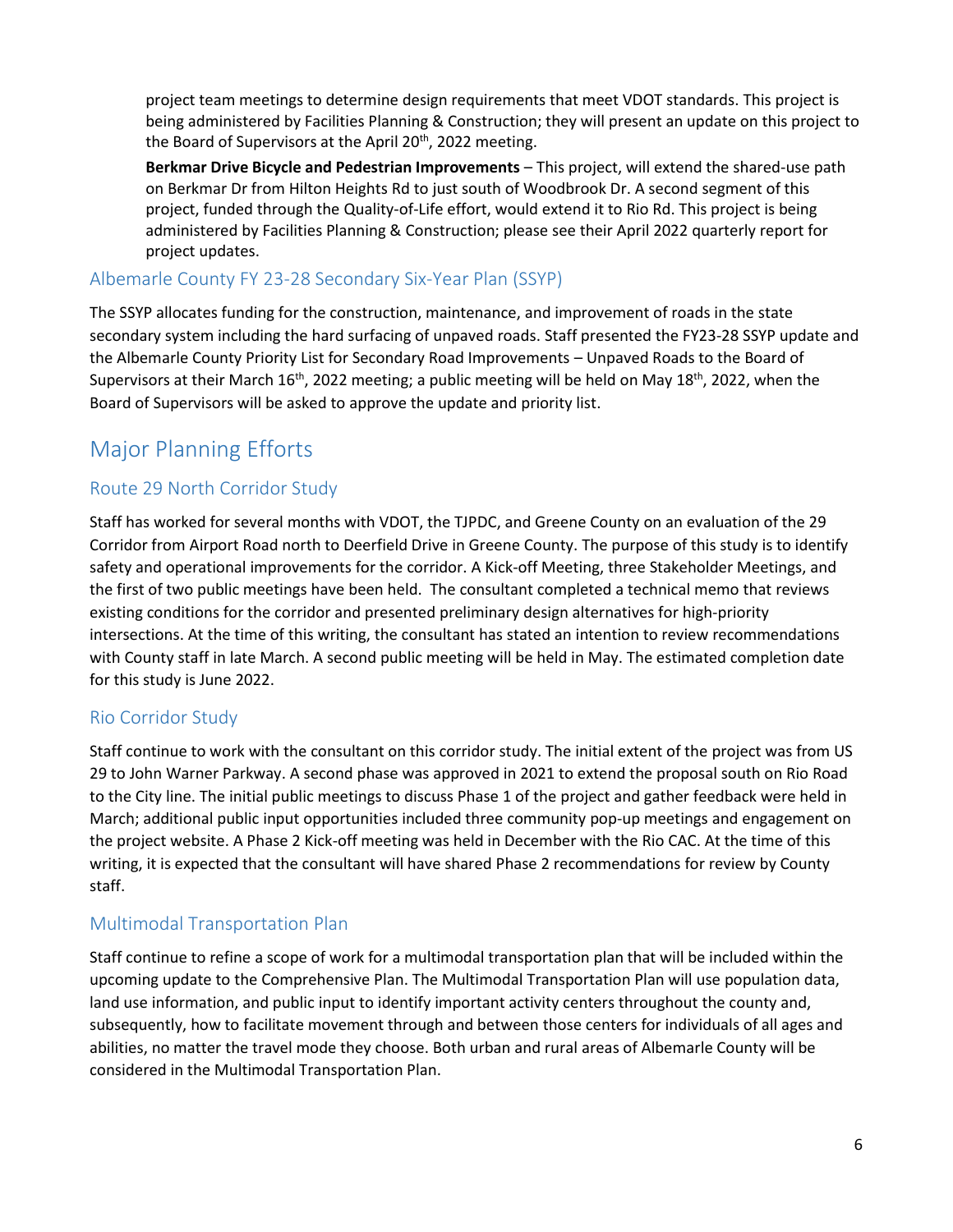project team meetings to determine design requirements that meet VDOT standards. This project is being administered by Facilities Planning & Construction; they will present an update on this project to the Board of Supervisors at the April 20<sup>th</sup>, 2022 meeting.

**Berkmar Drive Bicycle and Pedestrian Improvements** – This project, will extend the shared-use path on Berkmar Dr from Hilton Heights Rd to just south of Woodbrook Dr. A second segment of this project, funded through the Quality-of-Life effort, would extend it to Rio Rd. This project is being administered by Facilities Planning & Construction; please see their April 2022 quarterly report for project updates.

## Albemarle County FY 23-28 Secondary Six-Year Plan (SSYP)

The SSYP allocates funding for the construction, maintenance, and improvement of roads in the state secondary system including the hard surfacing of unpaved roads. Staff presented the FY23-28 SSYP update and the Albemarle County Priority List for Secondary Road Improvements – Unpaved Roads to the Board of Supervisors at their March  $16^{th}$ , 2022 meeting; a public meeting will be held on May  $18^{th}$ , 2022, when the Board of Supervisors will be asked to approve the update and priority list.

# Major Planning Efforts

## Route 29 North Corridor Study

Staff has worked for several months with VDOT, the TJPDC, and Greene County on an evaluation of the 29 Corridor from Airport Road north to Deerfield Drive in Greene County. The purpose of this study is to identify safety and operational improvements for the corridor. A Kick-off Meeting, three Stakeholder Meetings, and the first of two public meetings have been held. The consultant completed a technical memo that reviews existing conditions for the corridor and presented preliminary design alternatives for high-priority intersections. At the time of this writing, the consultant has stated an intention to review recommendations with County staff in late March. A second public meeting will be held in May. The estimated completion date for this study is June 2022.

## Rio Corridor Study

Staff continue to work with the consultant on this corridor study. The initial extent of the project was from US 29 to John Warner Parkway. A second phase was approved in 2021 to extend the proposal south on Rio Road to the City line. The initial public meetings to discuss Phase 1 of the project and gather feedback were held in March; additional public input opportunities included three community pop-up meetings and engagement on the project website. A Phase 2 Kick-off meeting was held in December with the Rio CAC. At the time of this writing, it is expected that the consultant will have shared Phase 2 recommendations for review by County staff.

## Multimodal Transportation Plan

Staff continue to refine a scope of work for a multimodal transportation plan that will be included within the upcoming update to the Comprehensive Plan. The Multimodal Transportation Plan will use population data, land use information, and public input to identify important activity centers throughout the county and, subsequently, how to facilitate movement through and between those centers for individuals of all ages and abilities, no matter the travel mode they choose. Both urban and rural areas of Albemarle County will be considered in the Multimodal Transportation Plan.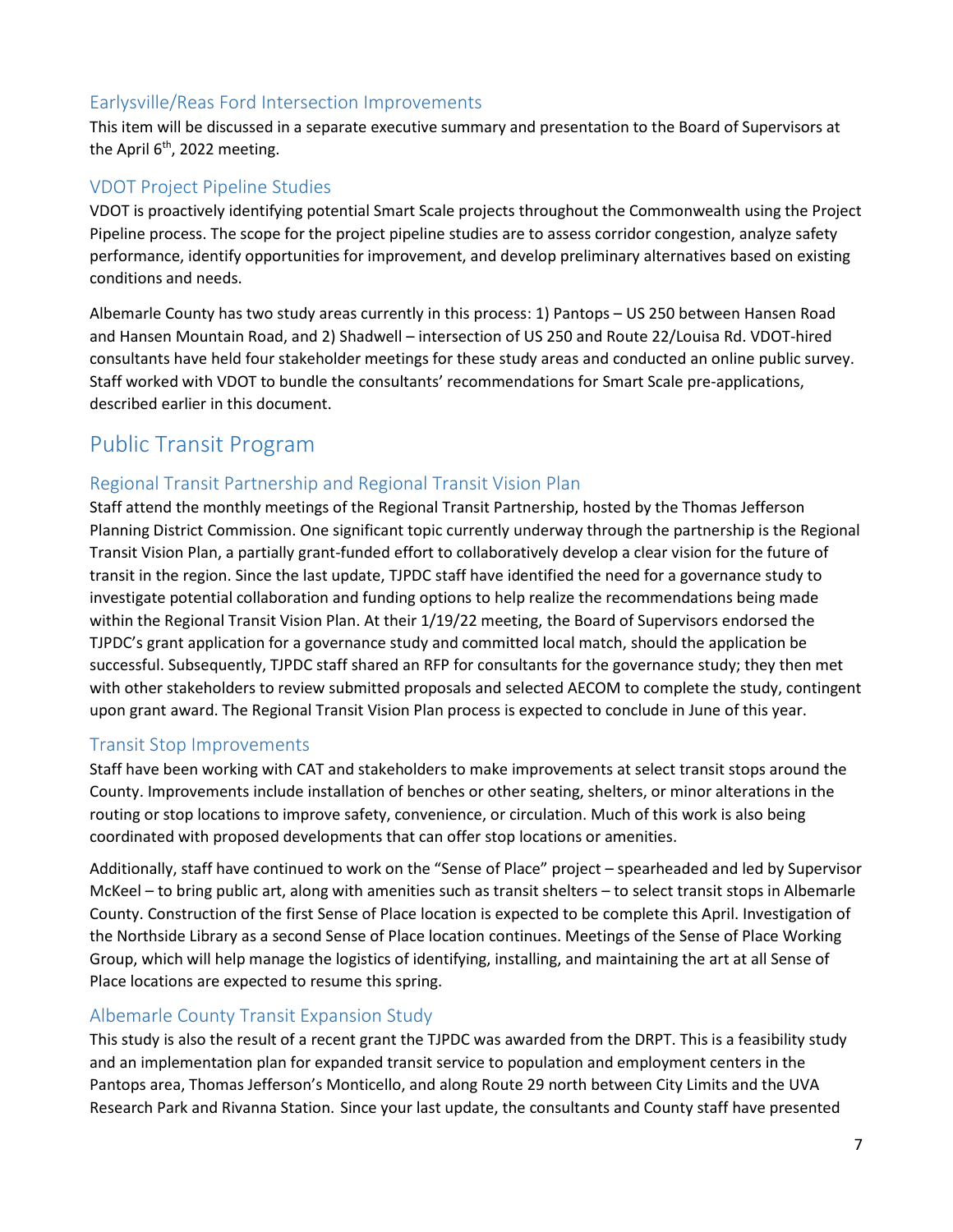## Earlysville/Reas Ford Intersection Improvements

This item will be discussed in a separate executive summary and presentation to the Board of Supervisors at the April 6<sup>th</sup>, 2022 meeting.

## VDOT Project Pipeline Studies

VDOT is proactively identifying potential Smart Scale projects throughout the Commonwealth using the Project Pipeline process. The scope for the project pipeline studies are to assess corridor congestion, analyze safety performance, identify opportunities for improvement, and develop preliminary alternatives based on existing conditions and needs.

Albemarle County has two study areas currently in this process: 1) Pantops – US 250 between Hansen Road and Hansen Mountain Road, and 2) Shadwell – intersection of US 250 and Route 22/Louisa Rd. VDOT-hired consultants have held four stakeholder meetings for these study areas and conducted an online public survey. Staff worked with VDOT to bundle the consultants' recommendations for Smart Scale pre-applications, described earlier in this document.

## Public Transit Program

## Regional Transit Partnership and Regional Transit Vision Plan

Staff attend the monthly meetings of the Regional Transit Partnership, hosted by the Thomas Jefferson Planning District Commission. One significant topic currently underway through the partnership is the Regional Transit Vision Plan, a partially grant-funded effort to collaboratively develop a clear vision for the future of transit in the region. Since the last update, TJPDC staff have identified the need for a governance study to investigate potential collaboration and funding options to help realize the recommendations being made within the Regional Transit Vision Plan. At their 1/19/22 meeting, the Board of Supervisors endorsed the TJPDC's grant application for a governance study and committed local match, should the application be successful. Subsequently, TJPDC staff shared an RFP for consultants for the governance study; they then met with other stakeholders to review submitted proposals and selected AECOM to complete the study, contingent upon grant award. The Regional Transit Vision Plan process is expected to conclude in June of this year.

#### Transit Stop Improvements

Staff have been working with CAT and stakeholders to make improvements at select transit stops around the County. Improvements include installation of benches or other seating, shelters, or minor alterations in the routing or stop locations to improve safety, convenience, or circulation. Much of this work is also being coordinated with proposed developments that can offer stop locations or amenities.

Additionally, staff have continued to work on the "Sense of Place" project – spearheaded and led by Supervisor McKeel – to bring public art, along with amenities such as transit shelters – to select transit stops in Albemarle County. Construction of the first Sense of Place location is expected to be complete this April. Investigation of the Northside Library as a second Sense of Place location continues. Meetings of the Sense of Place Working Group, which will help manage the logistics of identifying, installing, and maintaining the art at all Sense of Place locations are expected to resume this spring.

## Albemarle County Transit Expansion Study

This study is also the result of a recent grant the TJPDC was awarded from the DRPT. This is a feasibility study and an implementation plan for expanded transit service to population and employment centers in the Pantops area, Thomas Jefferson's Monticello, and along Route 29 north between City Limits and the UVA Research Park and Rivanna Station. Since your last update, the consultants and County staff have presented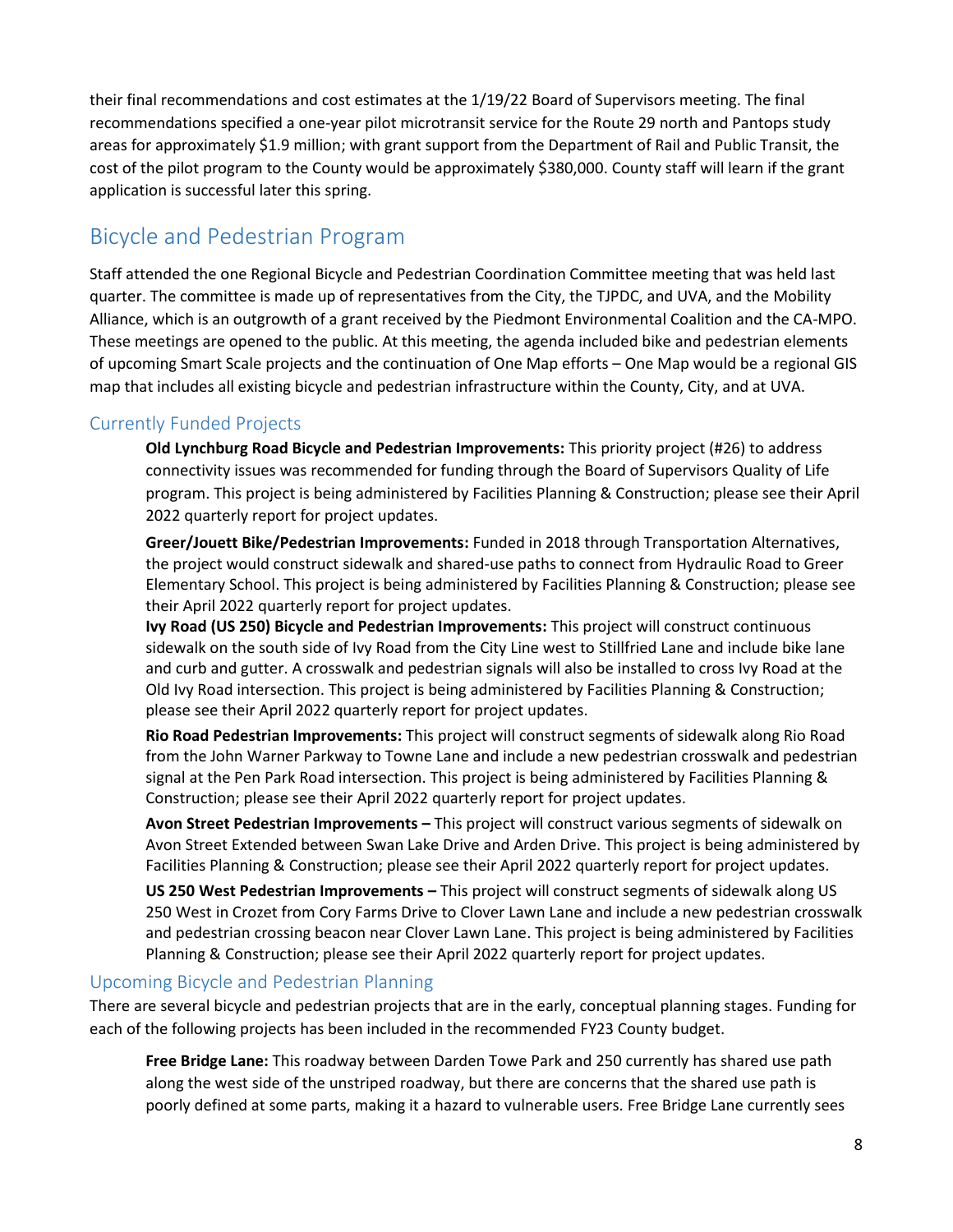their final recommendations and cost estimates at the 1/19/22 Board of Supervisors meeting. The final recommendations specified a one-year pilot microtransit service for the Route 29 north and Pantops study areas for approximately \$1.9 million; with grant support from the Department of Rail and Public Transit, the cost of the pilot program to the County would be approximately \$380,000. County staff will learn if the grant application is successful later this spring.

## Bicycle and Pedestrian Program

Staff attended the one Regional Bicycle and Pedestrian Coordination Committee meeting that was held last quarter. The committee is made up of representatives from the City, the TJPDC, and UVA, and the Mobility Alliance, which is an outgrowth of a grant received by the Piedmont Environmental Coalition and the CA-MPO. These meetings are opened to the public. At this meeting, the agenda included bike and pedestrian elements of upcoming Smart Scale projects and the continuation of One Map efforts – One Map would be a regional GIS map that includes all existing bicycle and pedestrian infrastructure within the County, City, and at UVA.

## Currently Funded Projects

**Old Lynchburg Road Bicycle and Pedestrian Improvements:** This priority project (#26) to address connectivity issues was recommended for funding through the Board of Supervisors Quality of Life program. This project is being administered by Facilities Planning & Construction; please see their April 2022 quarterly report for project updates.

**Greer/Jouett Bike/Pedestrian Improvements:** Funded in 2018 through Transportation Alternatives, the project would construct sidewalk and shared-use paths to connect from Hydraulic Road to Greer Elementary School. This project is being administered by Facilities Planning & Construction; please see their April 2022 quarterly report for project updates.

**Ivy Road (US 250) Bicycle and Pedestrian Improvements:** This project will construct continuous sidewalk on the south side of Ivy Road from the City Line west to Stillfried Lane and include bike lane and curb and gutter. A crosswalk and pedestrian signals will also be installed to cross Ivy Road at the Old Ivy Road intersection. This project is being administered by Facilities Planning & Construction; please see their April 2022 quarterly report for project updates.

**Rio Road Pedestrian Improvements:** This project will construct segments of sidewalk along Rio Road from the John Warner Parkway to Towne Lane and include a new pedestrian crosswalk and pedestrian signal at the Pen Park Road intersection. This project is being administered by Facilities Planning & Construction; please see their April 2022 quarterly report for project updates.

**Avon Street Pedestrian Improvements –** This project will construct various segments of sidewalk on Avon Street Extended between Swan Lake Drive and Arden Drive. This project is being administered by Facilities Planning & Construction; please see their April 2022 quarterly report for project updates.

**US 250 West Pedestrian Improvements –** This project will construct segments of sidewalk along US 250 West in Crozet from Cory Farms Drive to Clover Lawn Lane and include a new pedestrian crosswalk and pedestrian crossing beacon near Clover Lawn Lane. This project is being administered by Facilities Planning & Construction; please see their April 2022 quarterly report for project updates.

## Upcoming Bicycle and Pedestrian Planning

There are several bicycle and pedestrian projects that are in the early, conceptual planning stages. Funding for each of the following projects has been included in the recommended FY23 County budget.

**Free Bridge Lane:** This roadway between Darden Towe Park and 250 currently has shared use path along the west side of the unstriped roadway, but there are concerns that the shared use path is poorly defined at some parts, making it a hazard to vulnerable users. Free Bridge Lane currently sees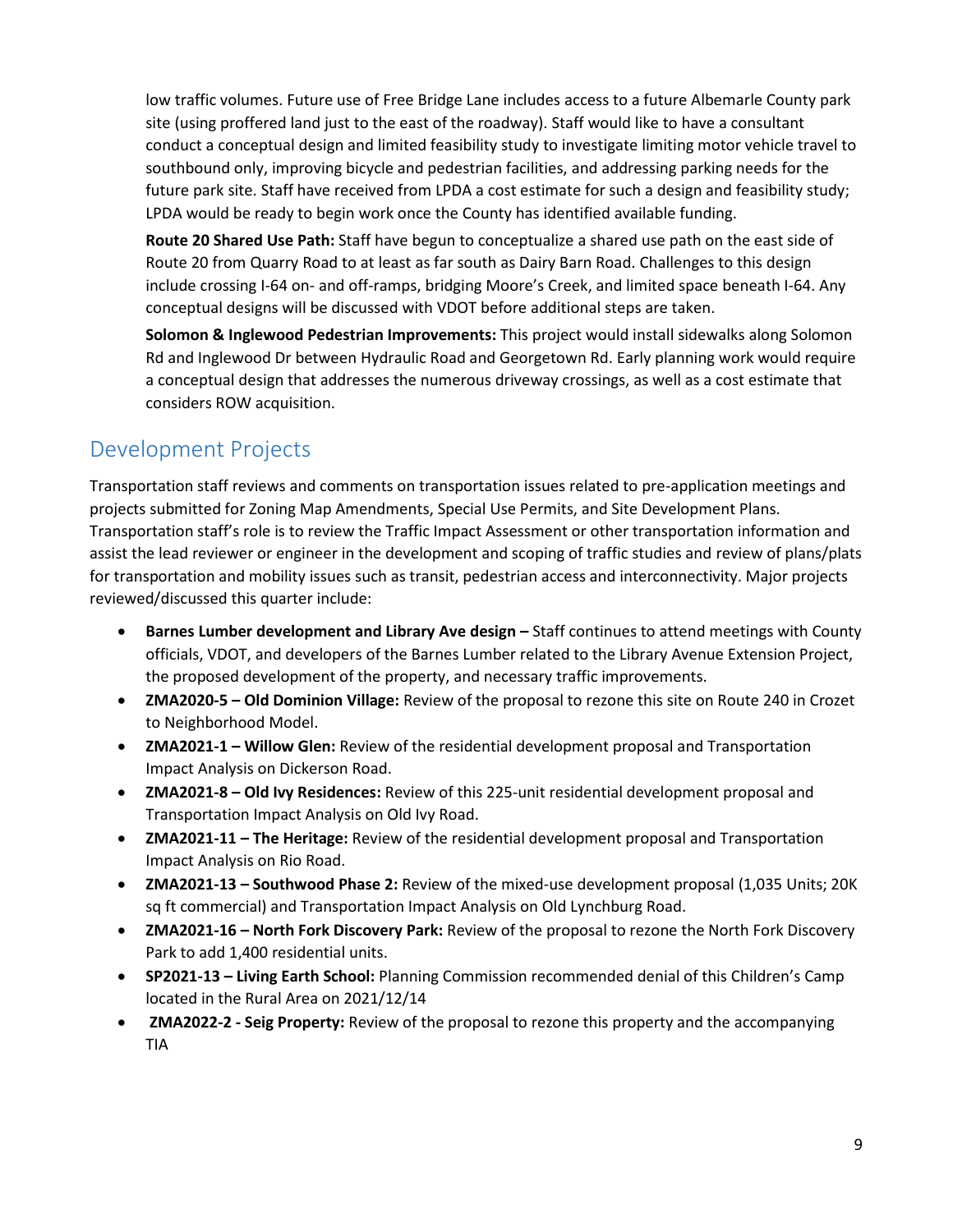low traffic volumes. Future use of Free Bridge Lane includes access to a future Albemarle County park site (using proffered land just to the east of the roadway). Staff would like to have a consultant conduct a conceptual design and limited feasibility study to investigate limiting motor vehicle travel to southbound only, improving bicycle and pedestrian facilities, and addressing parking needs for the future park site. Staff have received from LPDA a cost estimate for such a design and feasibility study; LPDA would be ready to begin work once the County has identified available funding.

**Route 20 Shared Use Path:** Staff have begun to conceptualize a shared use path on the east side of Route 20 from Quarry Road to at least as far south as Dairy Barn Road. Challenges to this design include crossing I-64 on- and off-ramps, bridging Moore's Creek, and limited space beneath I-64. Any conceptual designs will be discussed with VDOT before additional steps are taken.

**Solomon & Inglewood Pedestrian Improvements:** This project would install sidewalks along Solomon Rd and Inglewood Dr between Hydraulic Road and Georgetown Rd. Early planning work would require a conceptual design that addresses the numerous driveway crossings, as well as a cost estimate that considers ROW acquisition.

# Development Projects

Transportation staff reviews and comments on transportation issues related to pre-application meetings and projects submitted for Zoning Map Amendments, Special Use Permits, and Site Development Plans. Transportation staff's role is to review the Traffic Impact Assessment or other transportation information and assist the lead reviewer or engineer in the development and scoping of traffic studies and review of plans/plats for transportation and mobility issues such as transit, pedestrian access and interconnectivity. Major projects reviewed/discussed this quarter include:

- **Barnes Lumber development and Library Ave design Staff continues to attend meetings with County** officials, VDOT, and developers of the Barnes Lumber related to the Library Avenue Extension Project, the proposed development of the property, and necessary traffic improvements.
- **ZMA2020-5 – Old Dominion Village:** Review of the proposal to rezone this site on Route 240 in Crozet to Neighborhood Model.
- **ZMA2021-1 – Willow Glen:** Review of the residential development proposal and Transportation Impact Analysis on Dickerson Road.
- **ZMA2021-8 – Old Ivy Residences:** Review of this 225-unit residential development proposal and Transportation Impact Analysis on Old Ivy Road.
- **ZMA2021-11 – The Heritage:** Review of the residential development proposal and Transportation Impact Analysis on Rio Road.
- **ZMA2021-13 – Southwood Phase 2:** Review of the mixed-use development proposal (1,035 Units; 20K sq ft commercial) and Transportation Impact Analysis on Old Lynchburg Road.
- **ZMA2021-16 – North Fork Discovery Park:** Review of the proposal to rezone the North Fork Discovery Park to add 1,400 residential units.
- **SP2021-13 – Living Earth School:** Planning Commission recommended denial of this Children's Camp located in the Rural Area on 2021/12/14
- **ZMA2022-2 - Seig Property:** Review of the proposal to rezone this property and the accompanying TIA